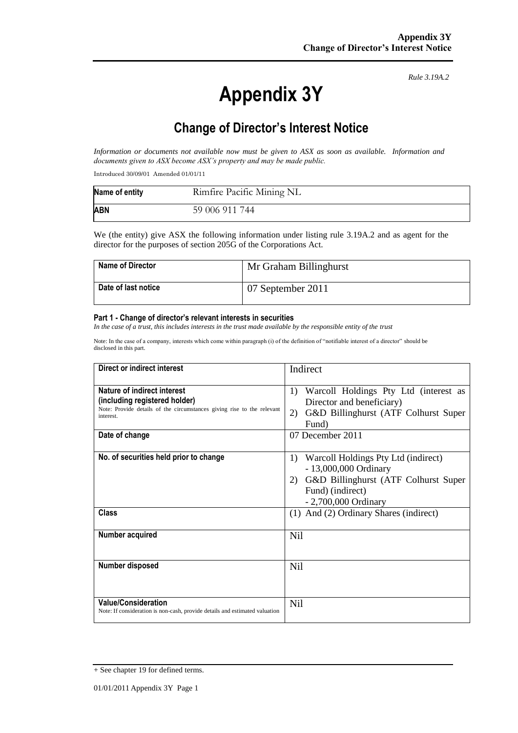# **Appendix 3Y**

*Rule 3.19A.2*

# **Change of Director's Interest Notice**

*Information or documents not available now must be given to ASX as soon as available. Information and documents given to ASX become ASX's property and may be made public.*

Introduced 30/09/01 Amended 01/01/11

| Name of entity | Rimfire Pacific Mining NL |
|----------------|---------------------------|
| <b>ABN</b>     | 59 006 911 744            |

We (the entity) give ASX the following information under listing rule 3.19A.2 and as agent for the director for the purposes of section 205G of the Corporations Act.

| <b>Name of Director</b> | Mr Graham Billinghurst |
|-------------------------|------------------------|
| Date of last notice     | 07 September 2011      |

#### **Part 1 - Change of director's relevant interests in securities**

*In the case of a trust, this includes interests in the trust made available by the responsible entity of the trust*

Note: In the case of a company, interests which come within paragraph (i) of the definition of "notifiable interest of a director" should be disclosed in this part.

| Direct or indirect interest                                                                                                                         | Indirect                                                                                                                                               |  |
|-----------------------------------------------------------------------------------------------------------------------------------------------------|--------------------------------------------------------------------------------------------------------------------------------------------------------|--|
| Nature of indirect interest<br>(including registered holder)<br>Note: Provide details of the circumstances giving rise to the relevant<br>interest. | Warcoll Holdings Pty Ltd (interest as<br>1)<br>Director and beneficiary)<br>G&D Billinghurst (ATF Colhurst Super<br>2)<br>Fund)                        |  |
| Date of change                                                                                                                                      | 07 December 2011                                                                                                                                       |  |
| No. of securities held prior to change                                                                                                              | 1) Warcoll Holdings Pty Ltd (indirect)<br>- 13,000,000 Ordinary<br>2) G&D Billinghurst (ATF Colhurst Super<br>Fund) (indirect)<br>- 2,700,000 Ordinary |  |
| <b>Class</b>                                                                                                                                        | (1) And (2) Ordinary Shares (indirect)                                                                                                                 |  |
| Number acquired                                                                                                                                     | <b>Nil</b>                                                                                                                                             |  |
| Number disposed                                                                                                                                     | <b>Nil</b>                                                                                                                                             |  |
| <b>Value/Consideration</b><br>Note: If consideration is non-cash, provide details and estimated valuation                                           | Nil                                                                                                                                                    |  |

<sup>+</sup> See chapter 19 for defined terms.